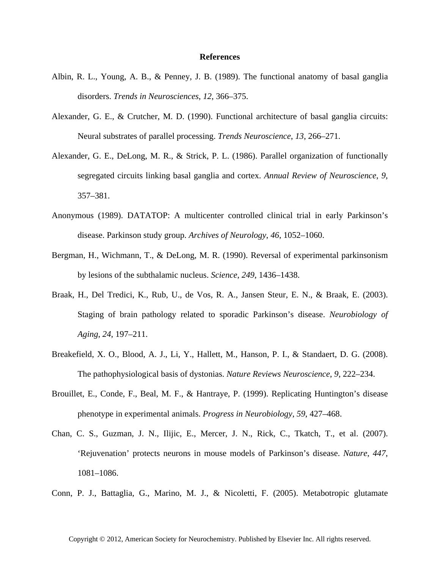## **References**

- Albin, R. L., Young, A. B., & Penney, J. B. (1989). The functional anatomy of basal ganglia disorders. *Trends in Neurosciences*, *12*, 366–375.
- Alexander, G. E., & Crutcher, M. D. (1990). Functional architecture of basal ganglia circuits: Neural substrates of parallel processing. *Trends Neuroscience*, *13*, 266–271.
- Alexander, G. E., DeLong, M. R., & Strick, P. L. (1986). Parallel organization of functionally segregated circuits linking basal ganglia and cortex. *Annual Review of Neuroscience*, *9*, 357–381.
- Anonymous (1989). DATATOP: A multicenter controlled clinical trial in early Parkinson's disease. Parkinson study group. *Archives of Neurology*, *46*, 1052–1060.
- Bergman, H., Wichmann, T., & DeLong, M. R. (1990). Reversal of experimental parkinsonism by lesions of the subthalamic nucleus. *Science*, *249*, 1436–1438.
- Braak, H., Del Tredici, K., Rub, U., de Vos, R. A., Jansen Steur, E. N., & Braak, E. (2003). Staging of brain pathology related to sporadic Parkinson's disease. *Neurobiology of Aging*, *24*, 197–211.
- Breakefield, X. O., Blood, A. J., Li, Y., Hallett, M., Hanson, P. I., & Standaert, D. G. (2008). The pathophysiological basis of dystonias. *Nature Reviews Neuroscience*, *9*, 222–234.
- Brouillet, E., Conde, F., Beal, M. F., & Hantraye, P. (1999). Replicating Huntington's disease phenotype in experimental animals. *Progress in Neurobiology*, *59*, 427–468.
- Chan, C. S., Guzman, J. N., Ilijic, E., Mercer, J. N., Rick, C., Tkatch, T., et al. (2007). 'Rejuvenation' protects neurons in mouse models of Parkinson's disease. *Nature*, *447*, 1081–1086.
- Conn, P. J., Battaglia, G., Marino, M. J., & Nicoletti, F. (2005). Metabotropic glutamate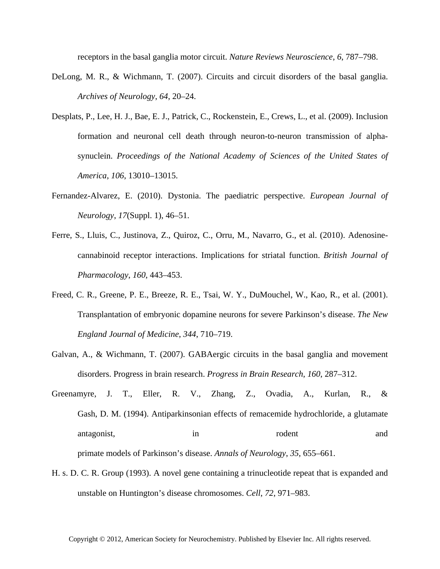receptors in the basal ganglia motor circuit. *Nature Reviews Neuroscience*, *6*, 787–798.

- DeLong, M. R., & Wichmann, T. (2007). Circuits and circuit disorders of the basal ganglia. *Archives of Neurology*, *64*, 20–24.
- Desplats, P., Lee, H. J., Bae, E. J., Patrick, C., Rockenstein, E., Crews, L., et al. (2009). Inclusion formation and neuronal cell death through neuron-to-neuron transmission of alphasynuclein. *Proceedings of the National Academy of Sciences of the United States of America*, *106*, 13010–13015.
- Fernandez-Alvarez, E. (2010). Dystonia. The paediatric perspective. *European Journal of Neurology*, *17*(Suppl. 1), 46–51.
- Ferre, S., Lluis, C., Justinova, Z., Quiroz, C., Orru, M., Navarro, G., et al. (2010). Adenosinecannabinoid receptor interactions. Implications for striatal function. *British Journal of Pharmacology*, *160*, 443–453.
- Freed, C. R., Greene, P. E., Breeze, R. E., Tsai, W. Y., DuMouchel, W., Kao, R., et al. (2001). Transplantation of embryonic dopamine neurons for severe Parkinson's disease. *The New England Journal of Medicine*, *344*, 710–719.
- Galvan, A., & Wichmann, T. (2007). GABAergic circuits in the basal ganglia and movement disorders. Progress in brain research. *Progress in Brain Research*, *160*, 287–312.
- Greenamyre, J. T., Eller, R. V., Zhang, Z., Ovadia, A., Kurlan, R., & Gash, D. M. (1994). Antiparkinsonian effects of remacemide hydrochloride, a glutamate antagonist, in in rodent and and primate models of Parkinson's disease. *Annals of Neurology*, *35*, 655–661.
- H. s. D. C. R. Group (1993). A novel gene containing a trinucleotide repeat that is expanded and unstable on Huntington's disease chromosomes. *Cell*, *72*, 971–983.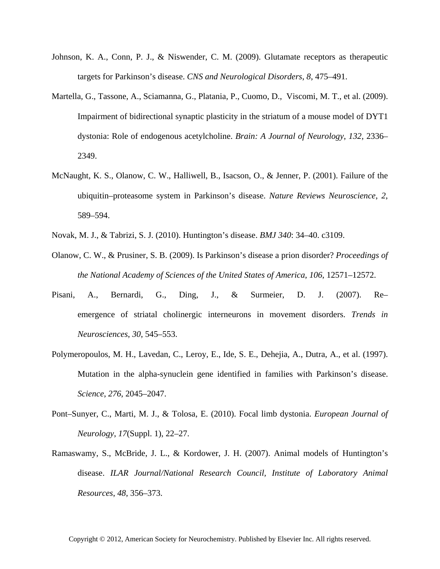- Johnson, K. A., Conn, P. J., & Niswender, C. M. (2009). Glutamate receptors as therapeutic targets for Parkinson's disease. *CNS and Neurological Disorders*, *8*, 475–491.
- Martella, G., Tassone, A., Sciamanna, G., Platania, P., Cuomo, D., Viscomi, M. T., et al. (2009). Impairment of bidirectional synaptic plasticity in the striatum of a mouse model of DYT1 dystonia: Role of endogenous acetylcholine. *Brain: A Journal of Neurology*, *132*, 2336– 2349.
- McNaught, K. S., Olanow, C. W., Halliwell, B., Isacson, O., & Jenner, P. (2001). Failure of the ubiquitin–proteasome system in Parkinson's disease. *Nature Reviews Neuroscience*, *2*, 589–594.
- Novak, M. J., & Tabrizi, S. J. (2010). Huntington's disease. *BMJ 340*: 34–40. c3109.
- Olanow, C. W., & Prusiner, S. B. (2009). Is Parkinson's disease a prion disorder? *Proceedings of the National Academy of Sciences of the United States of America*, *106*, 12571–12572.
- Pisani, A., Bernardi, G., Ding, J., & Surmeier, D. J. (2007). Re– emergence of striatal cholinergic interneurons in movement disorders. *Trends in Neurosciences*, *30*, 545–553.
- Polymeropoulos, M. H., Lavedan, C., Leroy, E., Ide, S. E., Dehejia, A., Dutra, A., et al. (1997). Mutation in the alpha-synuclein gene identified in families with Parkinson's disease. *Science*, *276*, 2045–2047.
- Pont–Sunyer, C., Marti, M. J., & Tolosa, E. (2010). Focal limb dystonia. *European Journal of Neurology*, *17*(Suppl. 1), 22–27.
- Ramaswamy, S., McBride, J. L., & Kordower, J. H. (2007). Animal models of Huntington's disease. *ILAR Journal/National Research Council, Institute of Laboratory Animal Resources*, *48*, 356–373.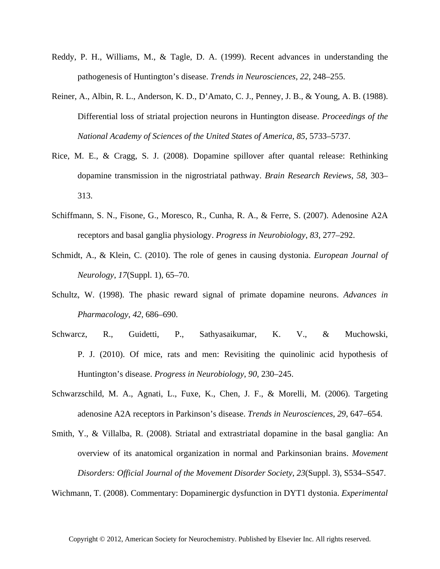- Reddy, P. H., Williams, M., & Tagle, D. A. (1999). Recent advances in understanding the pathogenesis of Huntington's disease. *Trends in Neurosciences*, *22*, 248–255.
- Reiner, A., Albin, R. L., Anderson, K. D., D'Amato, C. J., Penney, J. B., & Young, A. B. (1988). Differential loss of striatal projection neurons in Huntington disease. *Proceedings of the National Academy of Sciences of the United States of America*, *85*, 5733–5737.
- Rice, M. E., & Cragg, S. J. (2008). Dopamine spillover after quantal release: Rethinking dopamine transmission in the nigrostriatal pathway. *Brain Research Reviews*, *58*, 303– 313.
- Schiffmann, S. N., Fisone, G., Moresco, R., Cunha, R. A., & Ferre, S. (2007). Adenosine A2A receptors and basal ganglia physiology. *Progress in Neurobiology*, *83*, 277–292.
- Schmidt, A., & Klein, C. (2010). The role of genes in causing dystonia. *European Journal of Neurology*, *17*(Suppl. 1), 65–70.
- Schultz, W. (1998). The phasic reward signal of primate dopamine neurons. *Advances in Pharmacology*, *42*, 686–690.
- Schwarcz, R., Guidetti, P., Sathyasaikumar, K. V., & Muchowski, P. J. (2010). Of mice, rats and men: Revisiting the quinolinic acid hypothesis of Huntington's disease. *Progress in Neurobiology*, *90*, 230–245.
- Schwarzschild, M. A., Agnati, L., Fuxe, K., Chen, J. F., & Morelli, M. (2006). Targeting adenosine A2A receptors in Parkinson's disease. *Trends in Neurosciences*, *29*, 647–654.
- Smith, Y., & Villalba, R. (2008). Striatal and extrastriatal dopamine in the basal ganglia: An overview of its anatomical organization in normal and Parkinsonian brains. *Movement Disorders: Official Journal of the Movement Disorder Society*, *23*(Suppl. 3), S534–S547.

Wichmann, T. (2008). Commentary: Dopaminergic dysfunction in DYT1 dystonia. *Experimental*